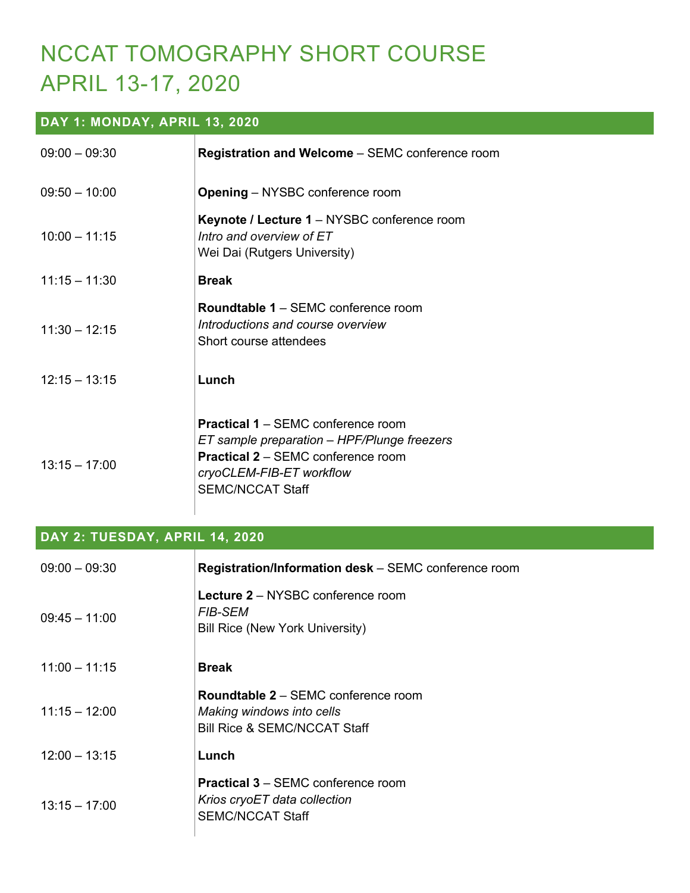# NCCAT TOMOGRAPHY SHORT COURSE APRIL 13-17, 2020

### **DAY 1: MONDAY, APRIL 13, 2020**

| $09:00 - 09:30$ | <b>Registration and Welcome</b> – SEMC conference room                                                                                                                                       |
|-----------------|----------------------------------------------------------------------------------------------------------------------------------------------------------------------------------------------|
| $09:50 - 10:00$ | <b>Opening</b> – NYSBC conference room                                                                                                                                                       |
| $10:00 - 11:15$ | Keynote / Lecture 1 - NYSBC conference room<br>Intro and overview of ET<br>Wei Dai (Rutgers University)                                                                                      |
| $11:15 - 11:30$ | <b>Break</b>                                                                                                                                                                                 |
| $11:30 - 12:15$ | <b>Roundtable 1 – SEMC conference room</b><br>Introductions and course overview<br>Short course attendees                                                                                    |
| $12:15 - 13:15$ | Lunch                                                                                                                                                                                        |
| $13:15 - 17:00$ | <b>Practical 1 – SEMC conference room</b><br>ET sample preparation - HPF/Plunge freezers<br><b>Practical 2 - SEMC conference room</b><br>cryoCLEM-FIB-ET workflow<br><b>SEMC/NCCAT Staff</b> |

#### **DAY 2: TUESDAY, APRIL 14, 2020**

| $09:00 - 09:30$ | Registration/Information desk - SEMC conference room                                                               |
|-----------------|--------------------------------------------------------------------------------------------------------------------|
| $09:45 - 11:00$ | Lecture 2 - NYSBC conference room<br><i>FIB-SEM</i><br><b>Bill Rice (New York University)</b>                      |
| $11:00 - 11:15$ | <b>Break</b>                                                                                                       |
| $11:15 - 12:00$ | <b>Roundtable 2 – SEMC conference room</b><br>Making windows into cells<br><b>Bill Rice &amp; SEMC/NCCAT Staff</b> |
| $12:00 - 13:15$ | Lunch                                                                                                              |
| $13:15 - 17:00$ | <b>Practical 3 - SEMC conference room</b><br>Krios cryoET data collection<br><b>SEMC/NCCAT Staff</b>               |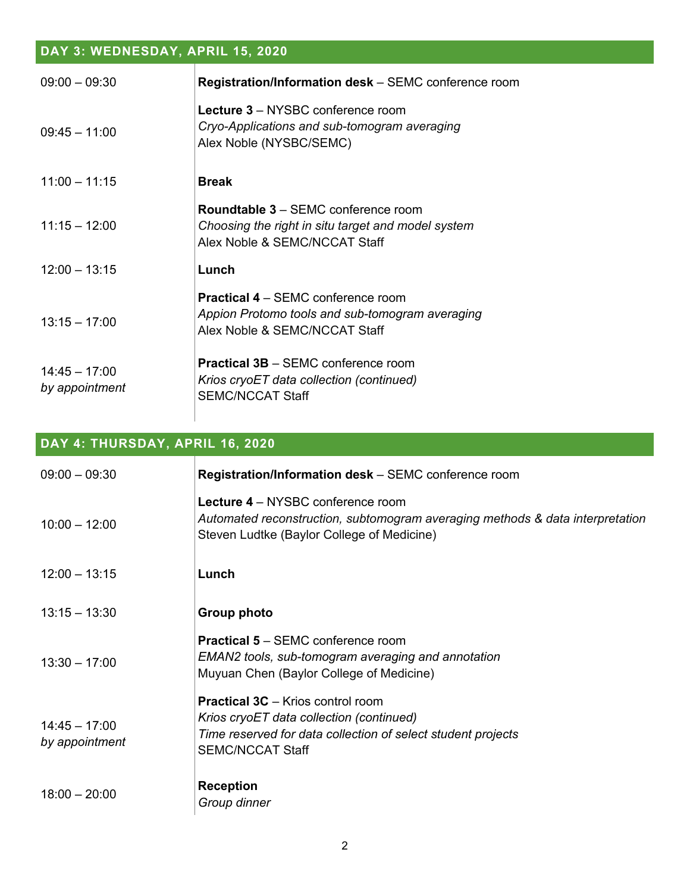## **DAY 3: WEDNESDAY, APRIL 15, 2020**

| $09:00 - 09:30$                   | Registration/Information desk - SEMC conference room                                                                              |
|-----------------------------------|-----------------------------------------------------------------------------------------------------------------------------------|
| $09:45 - 11:00$                   | Lecture 3 - NYSBC conference room<br>Cryo-Applications and sub-tomogram averaging<br>Alex Noble (NYSBC/SEMC)                      |
| $11:00 - 11:15$                   | <b>Break</b>                                                                                                                      |
| $11:15 - 12:00$                   | <b>Roundtable 3 – SEMC conference room</b><br>Choosing the right in situ target and model system<br>Alex Noble & SEMC/NCCAT Staff |
| $12:00 - 13:15$                   | Lunch                                                                                                                             |
| $13:15 - 17:00$                   | <b>Practical 4 – SEMC conference room</b><br>Appion Protomo tools and sub-tomogram averaging<br>Alex Noble & SEMC/NCCAT Staff     |
| $14:45 - 17:00$<br>by appointment | <b>Practical 3B - SEMC conference room</b><br>Krios cryoET data collection (continued)<br><b>SEMC/NCCAT Staff</b>                 |

**DAY 4: THURSDAY, APRIL 16, 2020**

| $09:00 - 09:30$                   | Registration/Information desk - SEMC conference room                                                                                                                            |
|-----------------------------------|---------------------------------------------------------------------------------------------------------------------------------------------------------------------------------|
| $10:00 - 12:00$                   | Lecture 4 – NYSBC conference room<br>Automated reconstruction, subtomogram averaging methods & data interpretation<br>Steven Ludtke (Baylor College of Medicine)                |
| $12:00 - 13:15$                   | Lunch                                                                                                                                                                           |
| $13:15 - 13:30$                   | Group photo                                                                                                                                                                     |
| $13:30 - 17:00$                   | <b>Practical 5 - SEMC conference room</b><br>EMAN2 tools, sub-tomogram averaging and annotation<br>Muyuan Chen (Baylor College of Medicine)                                     |
| $14:45 - 17:00$<br>by appointment | <b>Practical 3C</b> – Krios control room<br>Krios cryoET data collection (continued)<br>Time reserved for data collection of select student projects<br><b>SEMC/NCCAT Staff</b> |
| $18:00 - 20:00$                   | <b>Reception</b><br>Group dinner                                                                                                                                                |